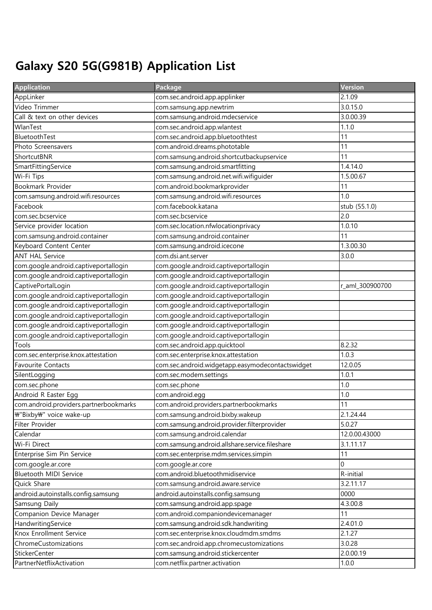## Galaxy S20 5G(G981B) Application List

| <b>Application</b>                     | Package                                          | Version         |
|----------------------------------------|--------------------------------------------------|-----------------|
| AppLinker                              | com.sec.android.app.applinker                    | 2.1.09          |
| Video Trimmer                          | com.samsung.app.newtrim                          | 3.0.15.0        |
| Call & text on other devices           | com.samsung.android.mdecservice                  | 3.0.00.39       |
| WlanTest                               | com.sec.android.app.wlantest                     | 1.1.0           |
| BluetoothTest                          | com.sec.android.app.bluetoothtest                | 11              |
| Photo Screensavers                     | com.android.dreams.phototable                    | 11              |
| ShortcutBNR                            | com.samsung.android.shortcutbackupservice        | 11              |
| SmartFittingService                    | com.samsung.android.smartfitting                 | 1.4.14.0        |
| Wi-Fi Tips                             | com.samsung.android.net.wifi.wifiguider          | 1.5.00.67       |
| Bookmark Provider                      | com.android.bookmarkprovider                     | 11              |
| com.samsung.android.wifi.resources     | com.samsung.android.wifi.resources               | 1.0             |
| Facebook                               | com.facebook.katana                              | stub (55.1.0)   |
| com.sec.bcservice                      | com.sec.bcservice                                | 2.0             |
| Service provider location              | com.sec.location.nfwlocationprivacy              | 1.0.10          |
| com.samsung.android.container          | com.samsung.android.container                    | 11              |
| Keyboard Content Center                | com.samsung.android.icecone                      | 1.3.00.30       |
| <b>ANT HAL Service</b>                 | com.dsi.ant.server                               | 3.0.0           |
| com.google.android.captiveportallogin  | com.google.android.captiveportallogin            |                 |
| com.google.android.captiveportallogin  | com.google.android.captiveportallogin            |                 |
| CaptivePortalLogin                     | com.google.android.captiveportallogin            | r_aml_300900700 |
| com.google.android.captiveportallogin  | com.google.android.captiveportallogin            |                 |
| com.google.android.captiveportallogin  | com.google.android.captiveportallogin            |                 |
| com.google.android.captiveportallogin  | com.google.android.captiveportallogin            |                 |
| com.google.android.captiveportallogin  | com.google.android.captiveportallogin            |                 |
| com.google.android.captiveportallogin  | com.google.android.captiveportallogin            |                 |
| Tools                                  | com.sec.android.app.quicktool                    | 8.2.32          |
| com.sec.enterprise.knox.attestation    | com.sec.enterprise.knox.attestation              | 1.0.3           |
| <b>Favourite Contacts</b>              | com.sec.android.widgetapp.easymodecontactswidget | 12.0.05         |
| SilentLogging                          | com.sec.modem.settings                           | 1.0.1           |
| com.sec.phone                          | com.sec.phone                                    | 1.0             |
| Android R Easter Egg                   | com.android.egg                                  | 1.0             |
| com.android.providers.partnerbookmarks | com.android.providers.partnerbookmarks           | 11              |
| ₩"Bixby₩" voice wake-up                | com.samsung.android.bixby.wakeup                 | 2.1.24.44       |
| Filter Provider                        | com.samsung.android.provider.filterprovider      | 5.0.27          |
| Calendar                               | com.samsung.android.calendar                     | 12.0.00.43000   |
| Wi-Fi Direct                           | com.samsung.android.allshare.service.fileshare   | 3.1.11.17       |
| Enterprise Sim Pin Service             | com.sec.enterprise.mdm.services.simpin           | 11              |
| com.google.ar.core                     | com.google.ar.core                               | $\overline{0}$  |
| <b>Bluetooth MIDI Service</b>          | com.android.bluetoothmidiservice                 | R-initial       |
| Quick Share                            | com.samsung.android.aware.service                | 3.2.11.17       |
| android.autoinstalls.config.samsung    | android.autoinstalls.config.samsung              | 0000            |
| Samsung Daily                          | com.samsung.android.app.spage                    | 4.3.00.8        |
| Companion Device Manager               | com.android.companiondevicemanager               | 11              |
| HandwritingService                     | com.samsung.android.sdk.handwriting              | 2.4.01.0        |
| Knox Enrollment Service                | com.sec.enterprise.knox.cloudmdm.smdms           | 2.1.27          |
| ChromeCustomizations                   | com.sec.android.app.chromecustomizations         | 3.0.28          |
| StickerCenter                          | com.samsung.android.stickercenter                | 2.0.00.19       |
| PartnerNetflixActivation               | com.netflix.partner.activation                   | 1.0.0           |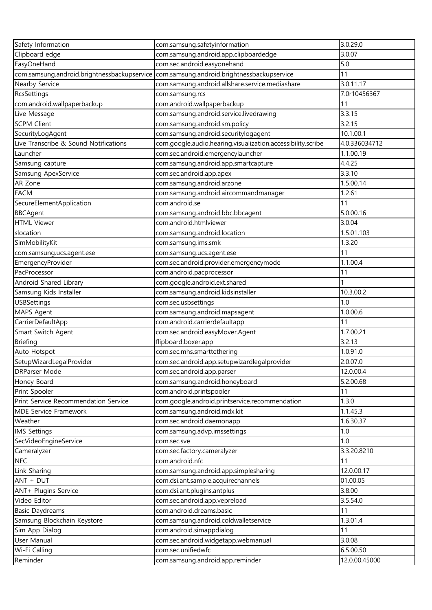| Safety Information                                    | com.samsung.safetyinformation                                               | 3.0.29.0            |
|-------------------------------------------------------|-----------------------------------------------------------------------------|---------------------|
| Clipboard edge                                        | com.samsung.android.app.clipboardedge                                       | 3.0.07              |
| EasyOneHand                                           | com.sec.android.easyonehand                                                 | 5.0                 |
| com.samsung.android.brightnessbackupservice           | com.samsung.android.brightnessbackupservice                                 | 11                  |
| Nearby Service                                        | com.samsung.android.allshare.service.mediashare                             | 3.0.11.17           |
| <b>RcsSettings</b>                                    | com.samsung.rcs                                                             | 7.0r10456367        |
| com.android.wallpaperbackup                           | com.android.wallpaperbackup                                                 | 11                  |
| Live Message                                          | com.samsung.android.service.livedrawing                                     | 3.3.15              |
| <b>SCPM Client</b>                                    | com.samsung.android.sm.policy                                               | 3.2.15              |
| SecurityLogAgent                                      | com.samsung.android.securitylogagent                                        | 10.1.00.1           |
| Live Transcribe & Sound Notifications                 | com.google.audio.hearing.visualization.accessibility.scribe                 | 4.0.336034712       |
| Launcher                                              | com.sec.android.emergencylauncher                                           | 1.1.00.19           |
| Samsung capture                                       | com.samsung.android.app.smartcapture                                        | 4.4.25              |
| Samsung ApexService                                   | com.sec.android.app.apex                                                    | 3.3.10              |
| AR Zone                                               | com.samsung.android.arzone                                                  | 1.5.00.14           |
| <b>FACM</b>                                           | com.samsung.android.aircommandmanager                                       | 1.2.61              |
| SecureElementApplication                              | com.android.se                                                              | 11                  |
| <b>BBCAgent</b>                                       | com.samsung.android.bbc.bbcagent                                            | 5.0.00.16           |
| <b>HTML Viewer</b>                                    | com.android.htmlviewer                                                      | 3.0.04              |
| slocation                                             | com.samsung.android.location                                                | 1.5.01.103          |
| SimMobilityKit                                        | com.samsung.ims.smk                                                         | 1.3.20              |
| com.samsung.ucs.agent.ese                             | com.samsung.ucs.agent.ese                                                   | 11                  |
| EmergencyProvider                                     | com.sec.android.provider.emergencymode                                      | 1.1.00.4            |
| PacProcessor                                          | com.android.pacprocessor                                                    | 11                  |
| Android Shared Library                                | com.google.android.ext.shared                                               |                     |
| Samsung Kids Installer                                | com.samsung.android.kidsinstaller                                           | 10.3.00.2           |
| <b>USBSettings</b>                                    | com.sec.usbsettings                                                         | 1.0                 |
| MAPS Agent                                            | com.samsung.android.mapsagent                                               | 1.0.00.6            |
| CarrierDefaultApp                                     | com.android.carrierdefaultapp                                               | 11                  |
| Smart Switch Agent                                    | com.sec.android.easyMover.Agent                                             | 1.7.00.21           |
| <b>Briefing</b>                                       | flipboard.boxer.app                                                         | 3.2.13              |
| Auto Hotspot                                          | com.sec.mhs.smarttethering                                                  | 1.0.91.0            |
| SetupWizardLegalProvider                              |                                                                             | 2.0.07.0            |
| <b>DRParser Mode</b>                                  | com.sec.android.app.setupwizardlegalprovider<br>com.sec.android.app.parser  | 12.0.00.4           |
| Honey Board                                           | com.samsung.android.honeyboard                                              | 5.2.00.68           |
| Print Spooler                                         | com.android.printspooler                                                    | 11                  |
| Print Service Recommendation Service                  | com.google.android.printservice.recommendation                              | 1.3.0               |
| <b>MDE Service Framework</b>                          | com.samsung.android.mdx.kit                                                 | 1.1.45.3            |
| Weather                                               | com.sec.android.daemonapp                                                   | 1.6.30.37           |
| <b>IMS Settings</b>                                   | com.samsung.advp.imssettings                                                | 1.0                 |
| SecVideoEngineService                                 | com.sec.sve                                                                 | 1.0                 |
| Cameralyzer                                           | com.sec.factory.cameralyzer                                                 | 3.3.20.8210         |
| <b>NFC</b>                                            | com.android.nfc                                                             | 11                  |
| Link Sharing                                          |                                                                             | 12.0.00.17          |
| ANT + DUT                                             | com.samsung.android.app.simplesharing<br>com.dsi.ant.sample.acquirechannels | 01.00.05            |
|                                                       |                                                                             |                     |
| ANT+ Plugins Service<br>Video Editor                  | com.dsi.ant.plugins.antplus<br>com.sec.android.app.vepreload                | 3.8.00<br>3.5.54.0  |
|                                                       | com.android.dreams.basic                                                    | 11                  |
| <b>Basic Daydreams</b><br>Samsung Blockchain Keystore | com.samsung.android.coldwalletservice                                       | 1.3.01.4            |
| Sim App Dialog                                        | com.android.simappdialog                                                    | 11                  |
| User Manual                                           |                                                                             |                     |
|                                                       | com.sec.android.widgetapp.webmanual<br>com.sec.unifiedwfc                   | 3.0.08<br>6.5.00.50 |
| Wi-Fi Calling                                         |                                                                             |                     |
| Reminder                                              | com.samsung.android.app.reminder                                            | 12.0.00.45000       |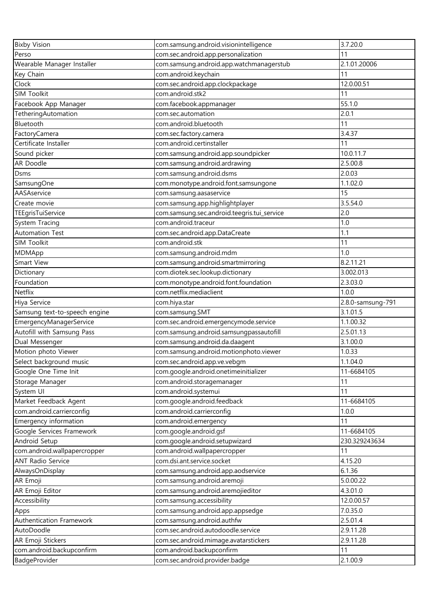| <b>Bixby Vision</b>           | com.samsung.android.visionintelligence      | 3.7.20.0          |
|-------------------------------|---------------------------------------------|-------------------|
| Perso                         | com.sec.android.app.personalization         | 11                |
| Wearable Manager Installer    | com.samsung.android.app.watchmanagerstub    | 2.1.01.20006      |
| Key Chain                     | com.android.keychain                        | 11                |
| Clock                         | com.sec.android.app.clockpackage            | 12.0.00.51        |
| <b>SIM Toolkit</b>            | com.android.stk2                            | 11                |
| Facebook App Manager          | com.facebook.appmanager                     | 55.1.0            |
| TetheringAutomation           | com.sec.automation                          | 2.0.1             |
| Bluetooth                     | com.android.bluetooth                       | 11                |
| FactoryCamera                 | com.sec.factory.camera                      | 3.4.37            |
| Certificate Installer         | com.android.certinstaller                   | 11                |
| Sound picker                  | com.samsung.android.app.soundpicker         | 10.0.11.7         |
| AR Doodle                     | com.samsung.android.ardrawing               | 2.5.00.8          |
| Dsms                          | com.samsung.android.dsms                    | 2.0.03            |
| SamsungOne                    | com.monotype.android.font.samsungone        | 1.1.02.0          |
| AASAservice                   | com.samsung.aasaservice                     | 15                |
| Create movie                  | com.samsung.app.highlightplayer             | 3.5.54.0          |
| TEEgrisTuiService             | com.samsung.sec.android.teegris.tui_service | 2.0               |
| System Tracing                | com.android.traceur                         | 1.0               |
| <b>Automation Test</b>        | com.sec.android.app.DataCreate              | 1.1               |
| <b>SIM Toolkit</b>            | com.android.stk                             | 11                |
| MDMApp                        | com.samsung.android.mdm                     | 1.0               |
| Smart View                    | com.samsung.android.smartmirroring          | 8.2.11.21         |
| Dictionary                    | com.diotek.sec.lookup.dictionary            | 3.002.013         |
| Foundation                    | com.monotype.android.font.foundation        | 2.3.03.0          |
| Netflix                       | com.netflix.mediaclient                     | 1.0.0             |
| Hiya Service                  | com.hiya.star                               | 2.8.0-samsung-791 |
| Samsung text-to-speech engine | com.samsung.SMT                             | 3.1.01.5          |
| EmergencyManagerService       | com.sec.android.emergencymode.service       | 1.1.00.32         |
| Autofill with Samsung Pass    | com.samsung.android.samsungpassautofill     | 2.5.01.13         |
| Dual Messenger                | com.samsung.android.da.daagent              | 3.1.00.0          |
| Motion photo Viewer           | com.samsung.android.motionphoto.viewer      | 1.0.33            |
| Select background music       | com.sec.android.app.ve.vebgm                | 1.1.04.0          |
| Google One Time Init          | com.google.android.onetimeinitializer       | 11-6684105        |
| Storage Manager               | com.android.storagemanager                  | 11                |
| System UI                     | com.android.systemui                        | 11                |
| Market Feedback Agent         | com.google.android.feedback                 | 11-6684105        |
| com.android.carrierconfig     | com.android.carrierconfig                   | 1.0.0             |
| Emergency information         | com.android.emergency                       | 11                |
| Google Services Framework     | com.google.android.gsf                      | 11-6684105        |
| Android Setup                 | com.google.android.setupwizard              | 230.329243634     |
| com.android.wallpapercropper  | com.android.wallpapercropper                | 11                |
| <b>ANT Radio Service</b>      | com.dsi.ant.service.socket                  | 4.15.20           |
| AlwaysOnDisplay               | com.samsung.android.app.aodservice          | 6.1.36            |
| AR Emoji                      | com.samsung.android.aremoji                 | 5.0.00.22         |
| AR Emoji Editor               | com.samsung.android.aremojieditor           | 4.3.01.0          |
| Accessibility                 | com.samsung.accessibility                   | 12.0.00.57        |
| Apps                          | com.samsung.android.app.appsedge            | 7.0.35.0          |
| Authentication Framework      | com.samsung.android.authfw                  | 2.5.01.4          |
| AutoDoodle                    | com.sec.android.autodoodle.service          | 2.9.11.28         |
| AR Emoji Stickers             | com.sec.android.mimage.avatarstickers       | 2.9.11.28         |
| com.android.backupconfirm     | com.android.backupconfirm                   | 11                |
| BadgeProvider                 | com.sec.android.provider.badge              | 2.1.00.9          |
|                               |                                             |                   |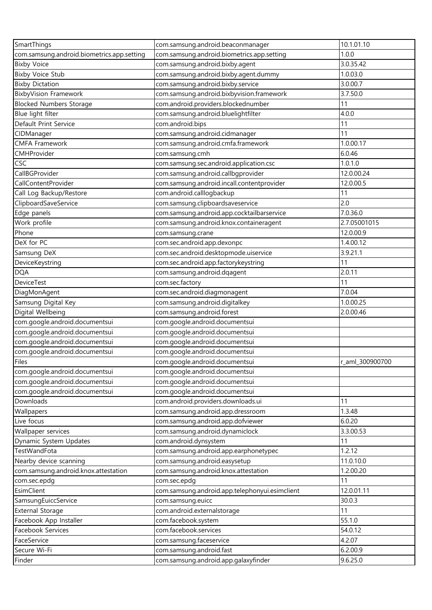| SmartThings                                | com.samsung.android.beaconmanager              | 10.1.01.10      |
|--------------------------------------------|------------------------------------------------|-----------------|
| com.samsung.android.biometrics.app.setting | com.samsung.android.biometrics.app.setting     | 1.0.0           |
| <b>Bixby Voice</b>                         | com.samsung.android.bixby.agent                | 3.0.35.42       |
| <b>Bixby Voice Stub</b>                    | com.samsung.android.bixby.agent.dummy          | 1.0.03.0        |
| <b>Bixby Dictation</b>                     | com.samsung.android.bixby.service              | 3.0.00.7        |
| <b>BixbyVision Framework</b>               | com.samsung.android.bixbyvision.framework      | 3.7.50.0        |
| <b>Blocked Numbers Storage</b>             | com.android.providers.blockednumber            | 11              |
| Blue light filter                          | com.samsung.android.bluelightfilter            | 4.0.0           |
| Default Print Service                      | com.android.bips                               | 11              |
| CIDManager                                 | com.samsung.android.cidmanager                 | 11              |
| <b>CMFA Framework</b>                      | com.samsung.android.cmfa.framework             | 1.0.00.17       |
| CMHProvider                                | com.samsung.cmh                                | 6.0.46          |
| CSC                                        | com.samsung.sec.android.application.csc        | 1.0.1.0         |
| CallBGProvider                             | com.samsung.android.callbgprovider             | 12.0.00.24      |
| CallContentProvider                        | com.samsung.android.incall.contentprovider     | 12.0.00.5       |
| Call Log Backup/Restore                    | com.android.calllogbackup                      | 11              |
| ClipboardSaveService                       | com.samsung.clipboardsaveservice               | 2.0             |
| Edge panels                                | com.samsung.android.app.cocktailbarservice     | 7.0.36.0        |
| Work profile                               | com.samsung.android.knox.containeragent        | 2.7.05001015    |
| Phone                                      | com.samsung.crane                              | 12.0.00.9       |
| DeX for PC                                 | com.sec.android.app.dexonpc                    | 1.4.00.12       |
| Samsung DeX                                | com.sec.android.desktopmode.uiservice          | 3.9.21.1        |
| DeviceKeystring                            | com.sec.android.app.factorykeystring           | 11              |
| <b>DQA</b>                                 | com.samsung.android.dqagent                    | 2.0.11          |
| <b>DeviceTest</b>                          | com.sec.factory                                | 11              |
| DiagMonAgent                               | com.sec.android.diagmonagent                   | 7.0.04          |
| Samsung Digital Key                        | com.samsung.android.digitalkey                 | 1.0.00.25       |
| Digital Wellbeing                          | com.samsung.android.forest                     | 2.0.00.46       |
| com.google.android.documentsui             | com.google.android.documentsui                 |                 |
| com.google.android.documentsui             | com.google.android.documentsui                 |                 |
| com.google.android.documentsui             | com.google.android.documentsui                 |                 |
| com.google.android.documentsui             | com.google.android.documentsui                 |                 |
| Files                                      | com.google.android.documentsui                 | r aml 300900700 |
| com.google.android.documentsui             | com.google.android.documentsui                 |                 |
| com.google.android.documentsui             | com.google.android.documentsui                 |                 |
| com.google.android.documentsui             | com.google.android.documentsui                 |                 |
| Downloads                                  | com.android.providers.downloads.ui             | 11              |
| Wallpapers                                 | com.samsung.android.app.dressroom              | 1.3.48          |
| Live focus                                 | com.samsung.android.app.dofviewer              | 6.0.20          |
| Wallpaper services                         | com.samsung.android.dynamiclock                | 3.3.00.53       |
| Dynamic System Updates                     | com.android.dynsystem                          | 11              |
| <b>TestWandFota</b>                        | com.samsung.android.app.earphonetypec          | 1.2.12          |
| Nearby device scanning                     | com.samsung.android.easysetup                  | 11.0.10.0       |
| com.samsung.android.knox.attestation       | com.samsung.android.knox.attestation           | 1.2.00.20       |
| com.sec.epdg                               | com.sec.epdg                                   | 11              |
| EsimClient                                 | com.samsung.android.app.telephonyui.esimclient | 12.0.01.11      |
| SamsungEuiccService                        | com.samsung.euicc                              | 30.0.3          |
| <b>External Storage</b>                    | com.android.externalstorage                    | 11              |
| Facebook App Installer                     | com.facebook.system                            | 55.1.0          |
| Facebook Services                          | com.facebook.services                          | 54.0.12         |
| FaceService                                | com.samsung.faceservice                        | 4.2.07          |
| Secure Wi-Fi                               | com.samsung.android.fast                       | 6.2.00.9        |
| Finder                                     | com.samsung.android.app.galaxyfinder           | 9.6.25.0        |
|                                            |                                                |                 |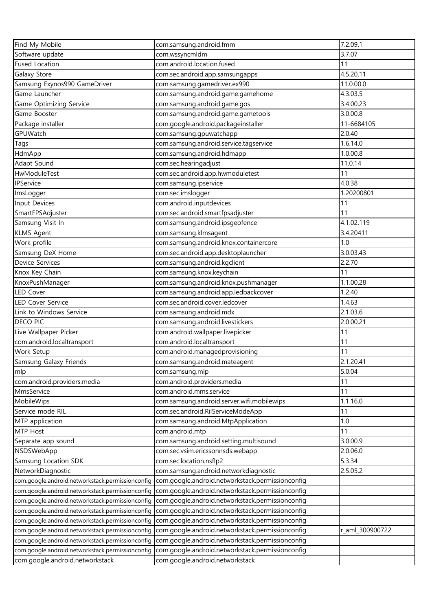| Find My Mobile                                   | com.samsung.android.fmm                          | 7.2.09.1        |
|--------------------------------------------------|--------------------------------------------------|-----------------|
| Software update                                  | com.wssyncmldm                                   | 3.7.07          |
| <b>Fused Location</b>                            | com.android.location.fused                       | 11              |
| Galaxy Store                                     | com.sec.android.app.samsungapps                  | 4.5.20.11       |
| Samsung Exynos990 GameDriver                     | com.samsung.gamedriver.ex990                     | 11.0.00.0       |
| Game Launcher                                    | com.samsung.android.game.gamehome                | 4.3.03.5        |
| Game Optimizing Service                          | com.samsung.android.game.gos                     | 3.4.00.23       |
| Game Booster                                     | com.samsung.android.game.gametools               | 3.0.00.8        |
| Package installer                                | com.google.android.packageinstaller              | 11-6684105      |
| GPUWatch                                         | com.samsung.gpuwatchapp                          | 2.0.40          |
| Tags                                             | com.samsung.android.service.tagservice           | 1.6.14.0        |
| HdmApp                                           | com.samsung.android.hdmapp                       | 1.0.00.8        |
| Adapt Sound                                      | com.sec.hearingadjust                            | 11.0.14         |
| HwModuleTest                                     | com.sec.android.app.hwmoduletest                 | 11              |
| IPService                                        | com.samsung.ipservice                            | 4.0.38          |
| ImsLogger                                        | com.sec.imslogger                                | 1.20200801      |
| Input Devices                                    | com.android.inputdevices                         | 11              |
| SmartFPSAdjuster                                 | com.sec.android.smartfpsadjuster                 | 11              |
| Samsung Visit In                                 | com.samsung.android.ipsgeofence                  | 4.1.02.119      |
| <b>KLMS Agent</b>                                | com.samsung.klmsagent                            | 3.4.20411       |
| Work profile                                     | com.samsung.android.knox.containercore           | 1.0             |
| Samsung DeX Home                                 | com.sec.android.app.desktoplauncher              | 3.0.03.43       |
| <b>Device Services</b>                           | com.samsung.android.kgclient                     | 2.2.70          |
| Knox Key Chain                                   | com.samsung.knox.keychain                        | 11              |
| KnoxPushManager                                  | com.samsung.android.knox.pushmanager             | 1.1.00.28       |
| <b>LED Cover</b>                                 | com.samsung.android.app.ledbackcover             | 1.2.40          |
| <b>LED Cover Service</b>                         | com.sec.android.cover.ledcover                   | 1.4.63          |
| Link to Windows Service                          | com.samsung.android.mdx                          | 2.1.03.6        |
| <b>DECO PIC</b>                                  | com.samsung.android.livestickers                 | 2.0.00.21       |
| Live Wallpaper Picker                            | com.android.wallpaper.livepicker                 | 11              |
| com.android.localtransport                       | com.android.localtransport                       | 11              |
| Work Setup                                       | com.android.managedprovisioning                  | 11              |
| Samsung Galaxy Friends                           | com.samsung.android.mateagent                    | 2.1.20.41       |
| mlp                                              | com.samsung.mlp                                  | 5.0.04          |
| com.android.providers.media                      | com.android.providers.media                      | 11              |
| MmsService                                       | com.android.mms.service                          | 11              |
| MobileWips                                       | com.samsung.android.server.wifi.mobilewips       | 1.1.16.0        |
| Service mode RIL                                 | com.sec.android.RilServiceModeApp                | 11              |
| MTP application                                  | com.samsung.android.MtpApplication               | 1.0             |
| MTP Host                                         | com.android.mtp                                  | 11              |
| Separate app sound                               | com.samsung.android.setting.multisound           | 3.0.00.9        |
| NSDSWebApp                                       | com.sec.vsim.ericssonnsds.webapp                 | 2.0.06.0        |
| Samsung Location SDK                             | com.sec.location.nsflp2                          | 5.3.34          |
| NetworkDiagnostic                                | com.samsung.android.networkdiagnostic            | 2.5.05.2        |
| com.google.android.networkstack.permissionconfig | com.google.android.networkstack.permissionconfig |                 |
| com.google.android.networkstack.permissionconfig | com.google.android.networkstack.permissionconfig |                 |
| com.google.android.networkstack.permissionconfig | com.google.android.networkstack.permissionconfig |                 |
| com.google.android.networkstack.permissionconfig | com.google.android.networkstack.permissionconfig |                 |
| com.google.android.networkstack.permissionconfig | com.google.android.networkstack.permissionconfig |                 |
| com.google.android.networkstack.permissionconfig | com.google.android.networkstack.permissionconfig | r_aml_300900722 |
| com.google.android.networkstack.permissionconfig | com.google.android.networkstack.permissionconfig |                 |
| com.google.android.networkstack.permissionconfig | com.google.android.networkstack.permissionconfig |                 |
| com.google.android.networkstack                  | com.google.android.networkstack                  |                 |
|                                                  |                                                  |                 |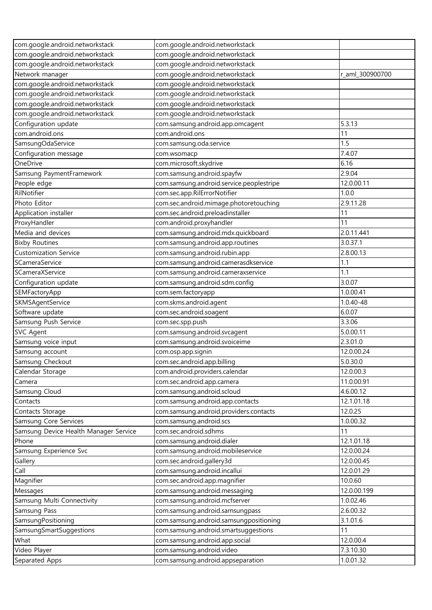| com.google.android.networkstack       | com.google.android.networkstack          |                 |
|---------------------------------------|------------------------------------------|-----------------|
| com.google.android.networkstack       | com.google.android.networkstack          |                 |
| com.google.android.networkstack       | com.google.android.networkstack          |                 |
| Network manager                       | com.google.android.networkstack          | r_aml_300900700 |
| com.google.android.networkstack       | com.google.android.networkstack          |                 |
| com.google.android.networkstack       | com.google.android.networkstack          |                 |
| com.google.android.networkstack       | com.google.android.networkstack          |                 |
| com.google.android.networkstack       | com.google.android.networkstack          |                 |
| Configuration update                  | com.samsung.android.app.omcagent         | 5.3.13          |
| com.android.ons                       | com.android.ons                          | 11              |
| SamsungOdaService                     | com.samsung.oda.service                  | 1.5             |
| Configuration message                 | com.wsomacp                              | 7.4.07          |
| OneDrive                              | com.microsoft.skydrive                   | 6.16            |
| Samsung PaymentFramework              | com.samsung.android.spayfw               | 2.9.04          |
| People edge                           | com.samsung.android.service.peoplestripe | 12.0.00.11      |
| RilNotifier                           | com.sec.app.RilErrorNotifier             | 1.0.0           |
| Photo Editor                          | com.sec.android.mimage.photoretouching   | 2.9.11.28       |
| Application installer                 | com.sec.android.preloadinstaller         | 11              |
| ProxyHandler                          | com.android.proxyhandler                 | 11              |
| Media and devices                     | com.samsung.android.mdx.quickboard       | 2.0.11.441      |
| <b>Bixby Routines</b>                 | com.samsung.android.app.routines         | 3.0.37.1        |
| <b>Customization Service</b>          | com.samsung.android.rubin.app            | 2.8.00.13       |
| SCameraService                        | com.samsung.android.camerasdkservice     | 1.1             |
| SCameraXService                       | com.samsung.android.cameraxservice       | 1.1             |
| Configuration update                  | com.samsung.android.sdm.config           | 3.0.07          |
| SEMFactoryApp                         | com.sem.factoryapp                       | 1.0.00.41       |
| SKMSAgentService                      | com.skms.android.agent                   | 1.0.40-48       |
| Software update                       | com.sec.android.soagent                  | 6.0.07          |
| Samsung Push Service                  | com.sec.spp.push                         | 3.3.06          |
| <b>SVC Agent</b>                      | com.samsung.android.svcagent             | 5.0.00.11       |
| Samsung voice input                   | com.samsung.android.svoiceime            | 2.3.01.0        |
| Samsung account                       | com.osp.app.signin                       | 12.0.00.24      |
| Samsung Checkout                      | com.sec.android.app.billing              | 5.0.30.0        |
| Calendar Storage                      | com.android.providers.calendar           | 12.0.00.3       |
| Camera                                | com.sec.android.app.camera               | 11.0.00.91      |
| Samsung Cloud                         | com.samsung.android.scloud               | 4.6.00.12       |
| Contacts                              | com.samsung.android.app.contacts         | 12.1.01.18      |
| Contacts Storage                      | com.samsung.android.providers.contacts   | 12.0.25         |
| Samsung Core Services                 | com.samsung.android.scs                  | 1.0.00.32       |
| Samsung Device Health Manager Service | com.sec.android.sdhms                    | 11              |
| Phone                                 | com.samsung.android.dialer               | 12.1.01.18      |
| Samsung Experience Svc                | com.samsung.android.mobileservice        | 12.0.00.24      |
| Gallery                               | com.sec.android.gallery3d                | 12.0.00.45      |
| Call                                  | com.samsung.android.incallui             | 12.0.01.29      |
| Magnifier                             | com.sec.android.app.magnifier            | 10.0.60         |
| Messages                              | com.samsung.android.messaging            | 12.0.00.199     |
| Samsung Multi Connectivity            | com.samsung.android.mcfserver            | 1.0.02.46       |
| Samsung Pass                          | com.samsung.android.samsungpass          | 2.6.00.32       |
| SamsungPositioning                    | com.samsung.android.samsungpositioning   | 3.1.01.6        |
| SamsungSmartSuggestions               | com.samsung.android.smartsuggestions     | 11              |
| What                                  | com.samsung.android.app.social           | 12.0.00.4       |
| Video Player                          | com.samsung.android.video                | 7.3.10.30       |
| Separated Apps                        | com.samsung.android.appseparation        | 1.0.01.32       |
|                                       |                                          |                 |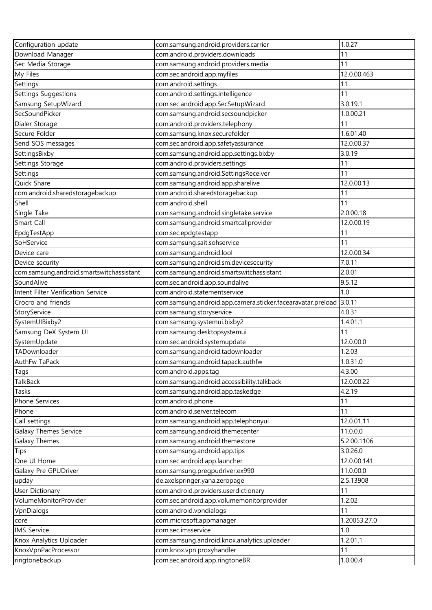| Configuration update                                     | com.samsung.android.providers.carrier                       | 1.0.27         |
|----------------------------------------------------------|-------------------------------------------------------------|----------------|
| Download Manager                                         | com.android.providers.downloads                             | 11             |
| Sec Media Storage                                        | com.samsung.android.providers.media                         | 11             |
| My Files                                                 | com.sec.android.app.myfiles                                 | 12.0.00.463    |
| Settings                                                 | com.android.settings                                        | 11             |
| Settings Suggestions                                     | com.android.settings.intelligence                           | 11             |
| Samsung SetupWizard                                      | com.sec.android.app.SecSetupWizard                          | 3.0.19.1       |
| SecSoundPicker                                           | com.samsung.android.secsoundpicker                          | 1.0.00.21      |
| Dialer Storage                                           | com.android.providers.telephony                             | 11             |
| Secure Folder                                            | com.samsung.knox.securefolder                               | 1.6.01.40      |
| Send SOS messages                                        | com.sec.android.app.safetyassurance                         | 12.0.00.37     |
| SettingsBixby                                            | com.samsung.android.app.settings.bixby                      | 3.0.19         |
| Settings Storage                                         | com.android.providers.settings                              | 11             |
| Settings                                                 | com.samsung.android.SettingsReceiver                        | 11             |
| Quick Share                                              | com.samsung.android.app.sharelive                           | 12.0.00.13     |
| com.android.sharedstoragebackup                          | com.android.sharedstoragebackup                             | 11             |
| Shell                                                    | com.android.shell                                           | 11             |
| Single Take                                              | com.samsung.android.singletake.service                      | 2.0.00.18      |
| Smart Call                                               | com.samsung.android.smartcallprovider                       | 12.0.00.19     |
| EpdgTestApp                                              | com.sec.epdgtestapp                                         | 11             |
| SoHService                                               | com.samsung.sait.sohservice                                 | 11             |
| Device care                                              | com.samsung.android.lool                                    | 12.0.00.34     |
| Device security                                          | com.samsung.android.sm.devicesecurity                       | 7.0.11         |
| com.samsung.android.smartswitchassistant                 | com.samsung.android.smartswitchassistant                    | 2.0.01         |
| SoundAlive                                               |                                                             | 9.5.12         |
|                                                          | com.sec.android.app.soundalive                              | 1.0            |
| Intent Filter Verification Service<br>Crocro and friends | com.android.statementservice                                | 3.0.11         |
|                                                          | com.samsung.android.app.camera.sticker.facearavatar.preload |                |
| StoryService                                             | com.samsung.storyservice                                    | 4.0.31         |
| SystemUIBixby2                                           | com.samsung.systemui.bixby2                                 | 1.4.01.1<br>11 |
| Samsung DeX System UI                                    | com.samsung.desktopsystemui                                 | 12.0.00.0      |
| SystemUpdate                                             | com.sec.android.systemupdate                                |                |
| TADownloader                                             | com.samsung.android.tadownloader                            | 1.2.03         |
| AuthFw TaPack                                            | com.samsung.android.tapack.authfw                           | 1.0.31.0       |
| Tags                                                     | com.android.apps.tag                                        | 4.3.00         |
| TalkBack                                                 | com.samsung.android.accessibility.talkback                  | 12.0.00.22     |
| Tasks                                                    | com.samsung.android.app.taskedge                            | 4.2.19         |
| Phone Services                                           | com.android.phone                                           | 11             |
| Phone                                                    | com.android.server.telecom                                  | 11             |
| Call settings                                            | com.samsung.android.app.telephonyui                         | 12.0.01.11     |
| Galaxy Themes Service                                    | com.samsung.android.themecenter                             | 11.0.0.0       |
| Galaxy Themes                                            | com.samsung.android.themestore                              | 5.2.00.1106    |
| <b>Tips</b>                                              | com.samsung.android.app.tips                                | 3.0.26.0       |
| One UI Home                                              | com.sec.android.app.launcher                                | 12.0.00.141    |
| Galaxy Pre GPUDriver                                     | com.samsung.pregpudriver.ex990                              | 11.0.00.0      |
| upday                                                    | de.axelspringer.yana.zeropage                               | 2.5.13908      |
| <b>User Dictionary</b>                                   | com.android.providers.userdictionary                        | 11             |
| VolumeMonitorProvider                                    | com.sec.android.app.volumemonitorprovider                   | 1.2.02         |
| VpnDialogs                                               | com.android.vpndialogs                                      | 11             |
| core                                                     | com.microsoft.appmanager                                    | 1.20053.27.0   |
| <b>IMS Service</b>                                       | com.sec.imsservice                                          | 1.0            |
| Knox Analytics Uploader                                  | com.samsung.android.knox.analytics.uploader                 | 1.2.01.1       |
| KnoxVpnPacProcessor                                      | com.knox.vpn.proxyhandler                                   | 11             |
| ringtonebackup                                           | com.sec.android.app.ringtoneBR                              | 1.0.00.4       |